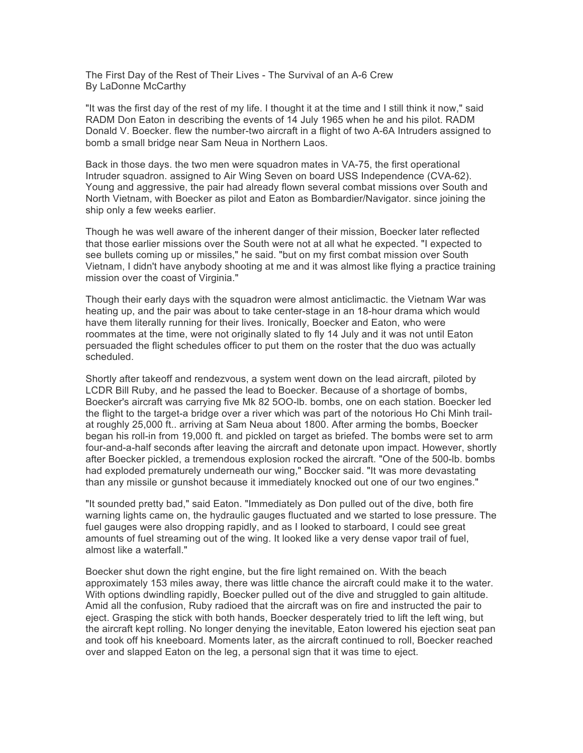The First Day of the Rest of Their Lives - The Survival of an A-6 Crew By LaDonne McCarthy

"It was the first day of the rest of my life. I thought it at the time and I still think it now," said RADM Don Eaton in describing the events of 14 July 1965 when he and his pilot. RADM Donald V. Boecker. flew the number-two aircraft in a flight of two A-6A Intruders assigned to bomb a small bridge near Sam Neua in Northern Laos.

Back in those days. the two men were squadron mates in VA-75, the first operational Intruder squadron. assigned to Air Wing Seven on board USS Independence (CVA-62). Young and aggressive, the pair had already flown several combat missions over South and North Vietnam, with Boecker as pilot and Eaton as Bombardier/Navigator. since joining the ship only a few weeks earlier.

Though he was well aware of the inherent danger of their mission, Boecker later reflected that those earlier missions over the South were not at all what he expected. "I expected to see bullets coming up or missiles," he said. "but on my first combat mission over South Vietnam, I didn't have anybody shooting at me and it was almost like flying a practice training mission over the coast of Virginia."

Though their early days with the squadron were almost anticlimactic. the Vietnam War was heating up, and the pair was about to take center-stage in an 18-hour drama which would have them literally running for their lives. Ironically, Boecker and Eaton, who were roommates at the time, were not originally slated to fly 14 July and it was not until Eaton persuaded the flight schedules officer to put them on the roster that the duo was actually scheduled.

Shortly after takeoff and rendezvous, a system went down on the lead aircraft, piloted by LCDR Bill Ruby, and he passed the lead to Boecker. Because of a shortage of bombs, Boecker's aircraft was carrying five Mk 82 5OO-lb. bombs, one on each station. Boecker led the flight to the target-a bridge over a river which was part of the notorious Ho Chi Minh trailat roughly 25,000 ft.. arriving at Sam Neua about 1800. After arming the bombs, Boecker began his roll-in from 19,000 ft. and pickled on target as briefed. The bombs were set to arm four-and-a-half seconds after leaving the aircraft and detonate upon impact. However, shortly after Boecker pickled, a tremendous explosion rocked the aircraft. "One of the 500-lb. bombs had exploded prematurely underneath our wing," Boccker said. "It was more devastating than any missile or gunshot because it immediately knocked out one of our two engines."

"It sounded pretty bad," said Eaton. "Immediately as Don pulled out of the dive, both fire warning lights came on, the hydraulic gauges fluctuated and we started to lose pressure. The fuel gauges were also dropping rapidly, and as I looked to starboard, I could see great amounts of fuel streaming out of the wing. It looked like a very dense vapor trail of fuel, almost like a waterfall."

Boecker shut down the right engine, but the fire light remained on. With the beach approximately 153 miles away, there was little chance the aircraft could make it to the water. With options dwindling rapidly, Boecker pulled out of the dive and struggled to gain altitude. Amid all the confusion, Ruby radioed that the aircraft was on fire and instructed the pair to eject. Grasping the stick with both hands, Boecker desperately tried to lift the left wing, but the aircraft kept rolling. No longer denying the inevitable, Eaton lowered his ejection seat pan and took off his kneeboard. Moments later, as the aircraft continued to roll, Boecker reached over and slapped Eaton on the leg, a personal sign that it was time to eject.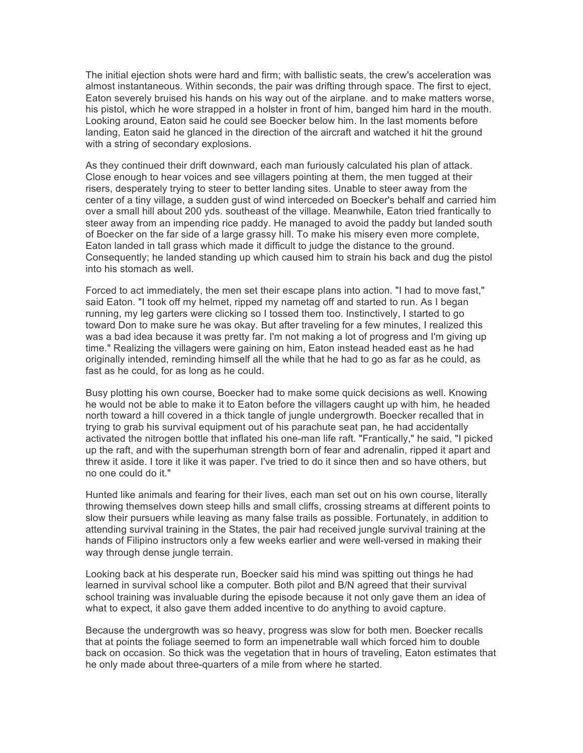The initial ejection shots were hard and firm; with ballistic seats, the crew's acceleration was almost instantaneous. Within seconds, the pair was drifting through space. The first to eject, Eaton severely bruised his hands on his way out of the airplane. and to make matters worse, his pistol, which he wore strapped in a holster in front of him, banged him hard in the mouth. Looking around, Eaton said he could see Boecker below him. In the last moments before landing, Eaton said he glanced in the direction of the aircraft and watched it hit the ground with a string of secondary explosions.

As they continued their drift downward, each man furiously calculated his plan of attack. Close enough to hear voices and see villagers pointing at them, the men tugged at their risers, desperately trying to steer to better landing sites. Unable to steer away from the center of a tiny village, a sudden gust of wind interceded on Boecker's behalf and carried him over a small hill about 200 yds. southeast of the village. Meanwhile, Eaton tried frantically to steer away from an impending rice paddy. He managed to avoid the paddy but landed south of Boecker on the far side of a large grassy hill. To make his misery even more complete, Eaton landed in tall grass which made it difficult to judge the distance to the ground. Consequently; he landed standing up which caused him to strain his back and dug the pistol into his stomach as well.

Forced to act immediately, the men set their escape plans into action. "I had to move fast," said Eaton. "I took off my helmet, ripped my nametag off and started to run. As I began running, my leg garters were clicking so I tossed them too. Instinctively, I started to go toward Don to make sure he was okay. But after traveling for a few minutes, I realized this was a bad idea because it was pretty far. I'm not making a lot of progress and I'm giving up time." Realizing the villagers were gaining on him, Eaton instead headed east as he had originally intended, reminding himself all the while that he had to go as far as he could, as fast as he could, for as long as he could.

Busy plotting his own course, Boecker had to make some quick decisions as well. Knowing he would not be able to make it to Eaton before the villagers caught up with him, he headed north toward a hill covered in a thick tangle of jungle undergrowth. Boecker recalled that in trying to grab his survival equipment out of his parachute seat pan, he had accidentally activated the nitrogen bottle that inflated his one-man life raft. "Frantically," he said, "I picked up the raft, and with the superhuman strength born of fear and adrenalin, ripped it apart and threw it aside. I tore it like it was paper. I've tried to do it since then and so have others, but no one could do it."

Hunted like animals and fearing for their lives, each man set out on his own course, literally throwing themselves down steep hills and small cliffs, crossing streams at different points to slow their pursuers while leaving as many false trails as possible. Fortunately, in addition to attending survival training in the States, the pair had received jungle survival training at the hands of Filipino instructors only a few weeks earlier and were well-versed in making their way through dense jungle terrain.

Looking back at his desperate run, Boecker said his mind was spitting out things he had learned in survival school like a computer. Both pilot and B/N agreed that their survival school training was invaluable during the episode because it not only gave them an idea of what to expect, it also gave them added incentive to do anything to avoid capture.

Because the undergrowth was so heavy, progress was slow for both men. Boecker recalls that at points the foliage seemed to form an impenetrable wall which forced him to double back on occasion. So thick was the vegetation that in hours of traveling, Eaton estimates that he only made about three-quarters of a mile from where he started.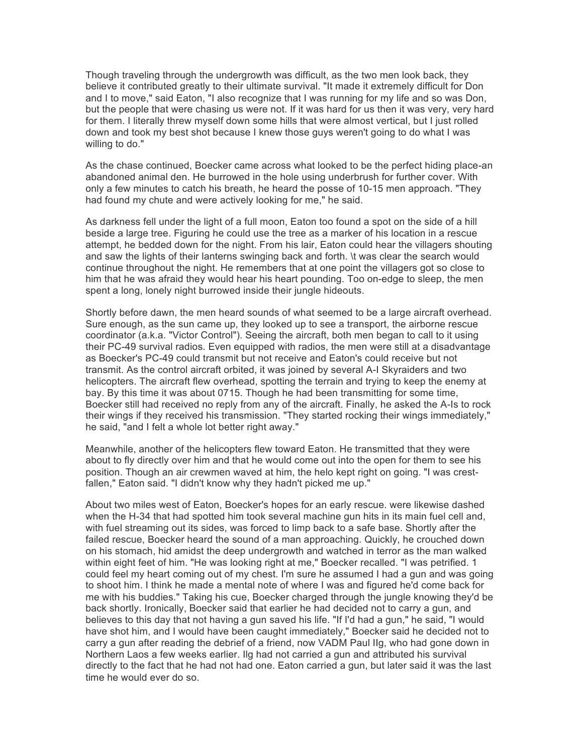Though traveling through the undergrowth was difficult, as the two men look back, they believe it contributed greatly to their ultimate survival. "It made it extremely difficult for Don and I to move," said Eaton, "I also recognize that I was running for my life and so was Don, but the people that were chasing us were not. If it was hard for us then it was very, very hard for them. I literally threw myself down some hills that were almost vertical, but I just rolled down and took my best shot because I knew those guys weren't going to do what I was willing to do."

As the chase continued, Boecker came across what looked to be the perfect hiding place-an abandoned animal den. He burrowed in the hole using underbrush for further cover. With only a few minutes to catch his breath, he heard the posse of 10-15 men approach. "They had found my chute and were actively looking for me," he said.

As darkness fell under the light of a full moon, Eaton too found a spot on the side of a hill beside a large tree. Figuring he could use the tree as a marker of his location in a rescue attempt, he bedded down for the night. From his lair, Eaton could hear the villagers shouting and saw the lights of their lanterns swinging back and forth. \t was clear the search would continue throughout the night. He remembers that at one point the villagers got so close to him that he was afraid they would hear his heart pounding. Too on-edge to sleep, the men spent a long, lonely night burrowed inside their jungle hideouts.

Shortly before dawn, the men heard sounds of what seemed to be a large aircraft overhead. Sure enough, as the sun came up, they looked up to see a transport, the airborne rescue coordinator (a.k.a. "Victor Control"). Seeing the aircraft, both men began to call to it using their PC-49 survival radios. Even equipped with radios, the men were still at a disadvantage as Boecker's PC-49 could transmit but not receive and Eaton's could receive but not transmit. As the control aircraft orbited, it was joined by several A-I Skyraiders and two helicopters. The aircraft flew overhead, spotting the terrain and trying to keep the enemy at bay. By this time it was about 0715. Though he had been transmitting for some time, Boecker still had received no reply from any of the aircraft. Finally, he asked the A-Is to rock their wings if they received his transmission. "They started rocking their wings immediately," he said, "and I felt a whole lot better right away."

Meanwhile, another of the helicopters flew toward Eaton. He transmitted that they were about to fly directly over him and that he would come out into the open for them to see his position. Though an air crewmen waved at him, the helo kept right on going. "I was crestfallen," Eaton said. "I didn't know why they hadn't picked me up."

About two miles west of Eaton, Boecker's hopes for an early rescue. were likewise dashed when the H-34 that had spotted him took several machine gun hits in its main fuel cell and, with fuel streaming out its sides, was forced to limp back to a safe base. Shortly after the failed rescue, Boecker heard the sound of a man approaching. Quickly, he crouched down on his stomach, hid amidst the deep undergrowth and watched in terror as the man walked within eight feet of him. "He was looking right at me," Boecker recalled. "I was petrified. 1 could feel my heart coming out of my chest. I'm sure he assumed I had a gun and was going to shoot him. I think he made a mental note of where I was and figured he'd come back for me with his buddies." Taking his cue, Boecker charged through the jungle knowing they'd be back shortly. Ironically, Boecker said that earlier he had decided not to carry a gun, and believes to this day that not having a gun saved his life. "If I'd had a gun," he said, "I would have shot him, and I would have been caught immediately," Boecker said he decided not to carry a gun after reading the debrief of a friend, now VADM Paul IIg, who had gone down in Northern Laos a few weeks earlier. Ilg had not carried a gun and attributed his survival directly to the fact that he had not had one. Eaton carried a gun, but later said it was the last time he would ever do so.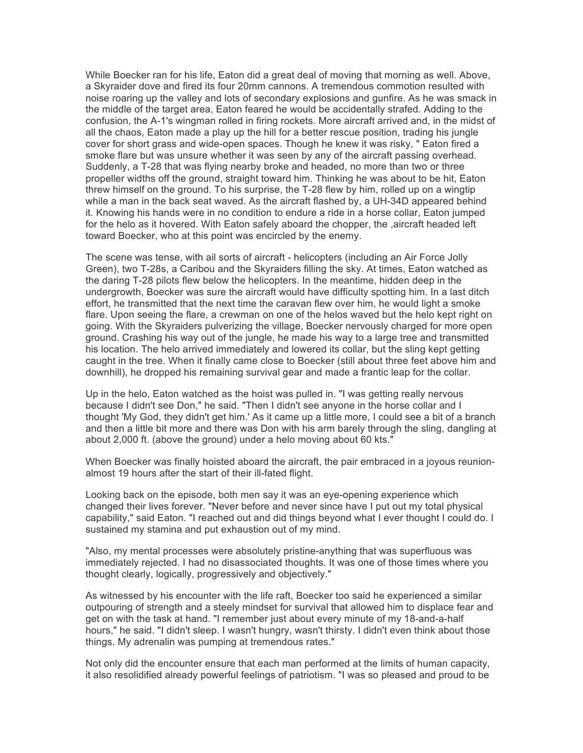While Boecker ran for his life, Eaton did a great deal of moving that morning as well. Above, a Skyraider dove and fired its four 20mm cannons. A tremendous commotion resulted with noise roaring up the valley and lots of secondary explosions and gunfire. As he was smack in the middle of the target area, Eaton feared he would be accidentally strafed. Adding to the confusion, the A-1's wingman rolled in firing rockets. More aircraft arrived and, in the midst of all the chaos, Eaton made a play up the hill for a better rescue position, trading his jungle cover for short grass and wide-open spaces. Though he knew it was risky, " Eaton fired a smoke flare but was unsure whether it was seen by any of the aircraft passing overhead. Suddenly, a T-28 that was flying nearby broke and headed, no more than two or three propeller widths off the ground, straight toward him. Thinking he was about to be hit, Eaton threw himself on the ground. To his surprise, the T-28 flew by him, rolled up on a wingtip while a man in the back seat waved. As the aircraft flashed by, a UH-34D appeared behind it. Knowing his hands were in no condition to endure a ride in a horse collar, Eaton jumped for the helo as it hovered. With Eaton safely aboard the chopper, the ,aircraft headed left toward Boecker, who at this point was encircled by the enemy.

The scene was tense, with ail sorts of aircraft - helicopters (including an Air Force Jolly Green), two T-28s, a Caribou and the Skyraiders filling the sky. At times, Eaton watched as the daring T-28 pilots flew below the helicopters. In the meantime, hidden deep in the undergrowth, Boecker was sure the aircraft would have difficulty spotting him. In a last ditch effort, he transmitted that the next time the caravan flew over him, he would light a smoke flare. Upon seeing the flare, a crewman on one of the helos waved but the helo kept right on going. With the Skyraiders pulverizing the village, Boecker nervously charged for more open ground. Crashing his way out of the jungle, he made his way to a large tree and transmitted his location. The helo arrived immediately and lowered its collar, but the sling kept getting caught in the tree. When it finally came close to Boecker (still about three feet above him and downhill), he dropped his remaining survival gear and made a frantic leap for the collar.

Up in the helo, Eaton watched as the hoist was pulled in. "I was getting really nervous because I didn't see Don," he said. "Then I didn't see anyone in the horse collar and I thought 'My God, they didn't get him.' As it came up a little more, I could see a bit of a branch and then a little bit more and there was Don with his arm barely through the sling, dangling at about 2,000 ft. (above the ground) under a helo moving about 60 kts."

When Boecker was finally hoisted aboard the aircraft, the pair embraced in a joyous reunionalmost 19 hours after the start of their ill-fated flight.

Looking back on the episode, both men say it was an eye-opening experience which changed their lives forever. "Never before and never since have I put out my total physical capability," said Eaton. "I reached out and did things beyond what I ever thought I could do. I sustained my stamina and put exhaustion out of my mind.

"Also, my mental processes were absolutely pristine-anything that was superfluous was immediately rejected. I had no disassociated thoughts. It was one of those times where you thought clearly, logically, progressively and objectively."

As witnessed by his encounter with the life raft, Boecker too said he experienced a similar outpouring of strength and a steely mindset for survival that allowed him to displace fear and get on with the task at hand. "I remember just about every minute of my 18-and-a-half hours," he said. "I didn't sleep. I wasn't hungry, wasn't thirsty. I didn't even think about those things. My adrenalin was pumping at tremendous rates."

Not only did the encounter ensure that each man performed at the limits of human capacity, it also resolidified already powerful feelings of patriotism. "I was so pleased and proud to be